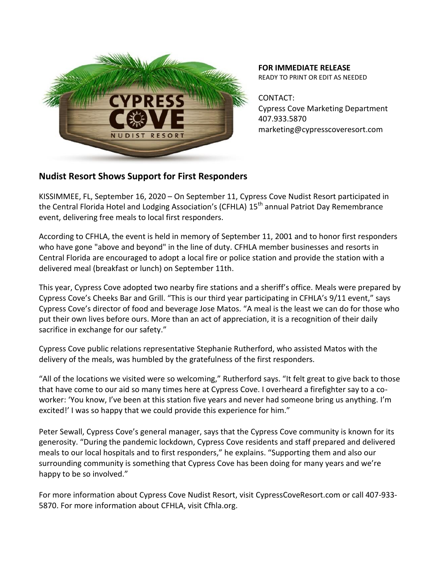

**FOR IMMEDIATE RELEASE** READY TO PRINT OR EDIT AS NEEDED

CONTACT: Cypress Cove Marketing Department 407.933.5870 marketing@cypresscoveresort.com

## **Nudist Resort Shows Support for First Responders**

KISSIMMEE, FL, September 16, 2020 – On September 11, Cypress Cove Nudist Resort participated in the Central Florida Hotel and Lodging Association's (CFHLA) 15<sup>th</sup> annual Patriot Day Remembrance event, delivering free meals to local first responders.

According to CFHLA, the event is held in memory of September 11, 2001 and to honor first responders who have gone "above and beyond" in the line of duty. CFHLA member businesses and resorts in Central Florida are encouraged to adopt a local fire or police station and provide the station with a delivered meal (breakfast or lunch) on September 11th.

This year, Cypress Cove adopted two nearby fire stations and a sheriff's office. Meals were prepared by Cypress Cove's Cheeks Bar and Grill. "This is our third year participating in CFHLA's 9/11 event," says Cypress Cove's director of food and beverage Jose Matos. "A meal is the least we can do for those who put their own lives before ours. More than an act of appreciation, it is a recognition of their daily sacrifice in exchange for our safety."

Cypress Cove public relations representative Stephanie Rutherford, who assisted Matos with the delivery of the meals, was humbled by the gratefulness of the first responders.

"All of the locations we visited were so welcoming," Rutherford says. "It felt great to give back to those that have come to our aid so many times here at Cypress Cove. I overheard a firefighter say to a coworker: 'You know, I've been at this station five years and never had someone bring us anything. I'm excited!' I was so happy that we could provide this experience for him."

Peter Sewall, Cypress Cove's general manager, says that the Cypress Cove community is known for its generosity. "During the pandemic lockdown, Cypress Cove residents and staff prepared and delivered meals to our local hospitals and to first responders," he explains. "Supporting them and also our surrounding community is something that Cypress Cove has been doing for many years and we're happy to be so involved."

For more information about Cypress Cove Nudist Resort, visit CypressCoveResort.com or call 407-933- 5870. For more information about CFHLA, visit Cfhla.org.